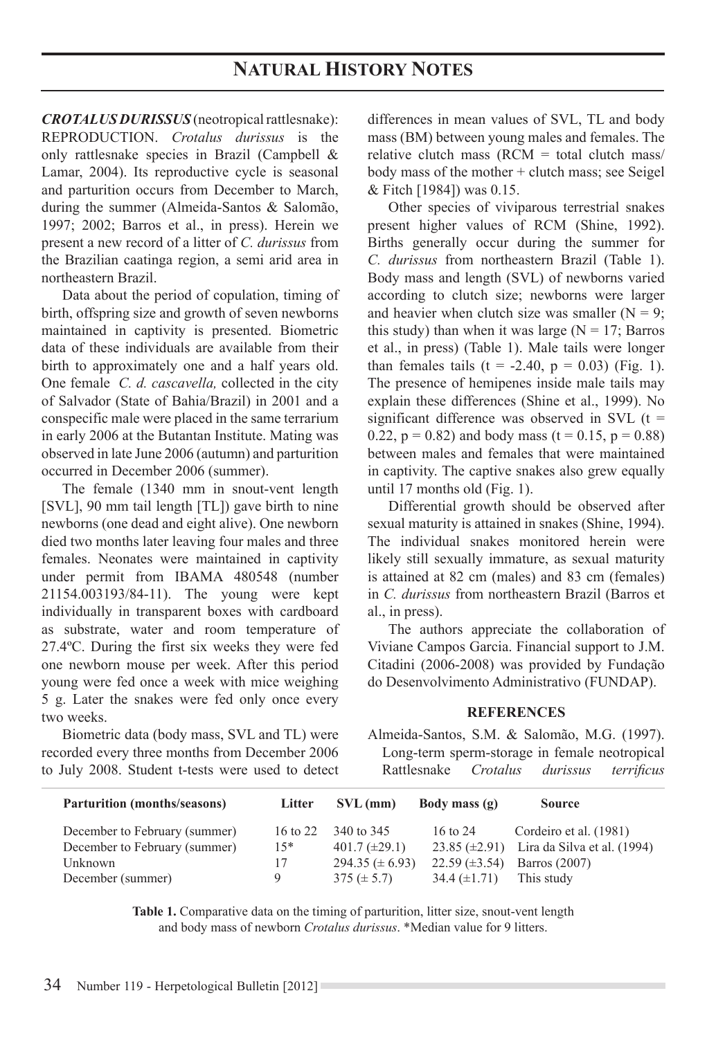*CROTALUS DURISSUS* (neotropical rattlesnake): REPRODUCTION. *Crotalus durissus* is the only rattlesnake species in Brazil (Campbell & Lamar, 2004). Its reproductive cycle is seasonal and parturition occurs from December to March, during the summer (Almeida-Santos & Salomão, 1997; 2002; Barros et al., in press). Herein we present a new record of a litter of *C. durissus* from the Brazilian caatinga region, a semi arid area in northeastern Brazil.

Data about the period of copulation, timing of birth, offspring size and growth of seven newborns maintained in captivity is presented. Biometric data of these individuals are available from their birth to approximately one and a half years old. One female *C. d. cascavella,* collected in the city of Salvador (State of Bahia/Brazil) in 2001 and a conspecific male were placed in the same terrarium in early 2006 at the Butantan Institute. Mating was observed in late June 2006 (autumn) and parturition occurred in December 2006 (summer).

The female (1340 mm in snout-vent length [SVL], 90 mm tail length [TL]) gave birth to nine newborns (one dead and eight alive). One newborn died two months later leaving four males and three females. Neonates were maintained in captivity under permit from IBAMA 480548 (number 21154.003193/84-11). The young were kept individually in transparent boxes with cardboard as substrate, water and room temperature of 27.4ºC. During the first six weeks they were fed one newborn mouse per week. After this period young were fed once a week with mice weighing 5 g. Later the snakes were fed only once every two weeks.

Biometric data (body mass, SVL and TL) were recorded every three months from December 2006 to July 2008. Student t-tests were used to detect differences in mean values of SVL, TL and body mass (BM) between young males and females. The relative clutch mass ( $RCM = total$  clutch mass/ body mass of the mother + clutch mass; see Seigel & Fitch [1984]) was 0.15.

Other species of viviparous terrestrial snakes present higher values of RCM (Shine, 1992). Births generally occur during the summer for *C. durissus* from northeastern Brazil (Table 1). Body mass and length (SVL) of newborns varied according to clutch size; newborns were larger and heavier when clutch size was smaller  $(N = 9)$ ; this study) than when it was large  $(N = 17;$  Barros et al., in press) (Table 1). Male tails were longer than females tails  $(t = -2.40, p = 0.03)$  (Fig. 1). The presence of hemipenes inside male tails may explain these differences (Shine et al., 1999). No significant difference was observed in SVL  $(t =$ 0.22,  $p = 0.82$ ) and body mass (t = 0.15,  $p = 0.88$ ) between males and females that were maintained in captivity. The captive snakes also grew equally until 17 months old (Fig. 1).

Differential growth should be observed after sexual maturity is attained in snakes (Shine, 1994). The individual snakes monitored herein were likely still sexually immature, as sexual maturity is attained at 82 cm (males) and 83 cm (females) in *C. durissus* from northeastern Brazil (Barros et al., in press).

The authors appreciate the collaboration of Viviane Campos Garcia. Financial support to J.M. Citadini (2006-2008) was provided by Fundação do Desenvolvimento Administrativo (FUNDAP).

# **References**

Almeida-Santos, S.M. & Salomão, M.G. (1997). Long-term sperm-storage in female neotropical Rattlesnake *Crotalus durissus terrificus*

| <b>Parturition (months/seasons)</b> | Litter   | $SVL$ (mm)           | Body mass $(g)$      | <b>Source</b>                                  |
|-------------------------------------|----------|----------------------|----------------------|------------------------------------------------|
| December to February (summer)       | 16 to 22 | 340 to 345           | 16 to 24             | Cordeiro et al. (1981)                         |
| December to February (summer)       | $15*$    | $401.7 \ (\pm 29.1)$ |                      | 23.85 $(\pm 2.91)$ Lira da Silva et al. (1994) |
| Unknown                             | 17       | $294.35 (\pm 6.93)$  | $22.59 \ (\pm 3.54)$ | Barros (2007)                                  |
| December (summer)                   | 9        | $375 (\pm 5.7)$      | $34.4 \ (\pm 1.71)$  | This study                                     |

Table 1. Comparative data on the timing of parturition, litter size, snout-vent length and body mass of newborn *Crotalus durissus*. \*Median value for 9 litters.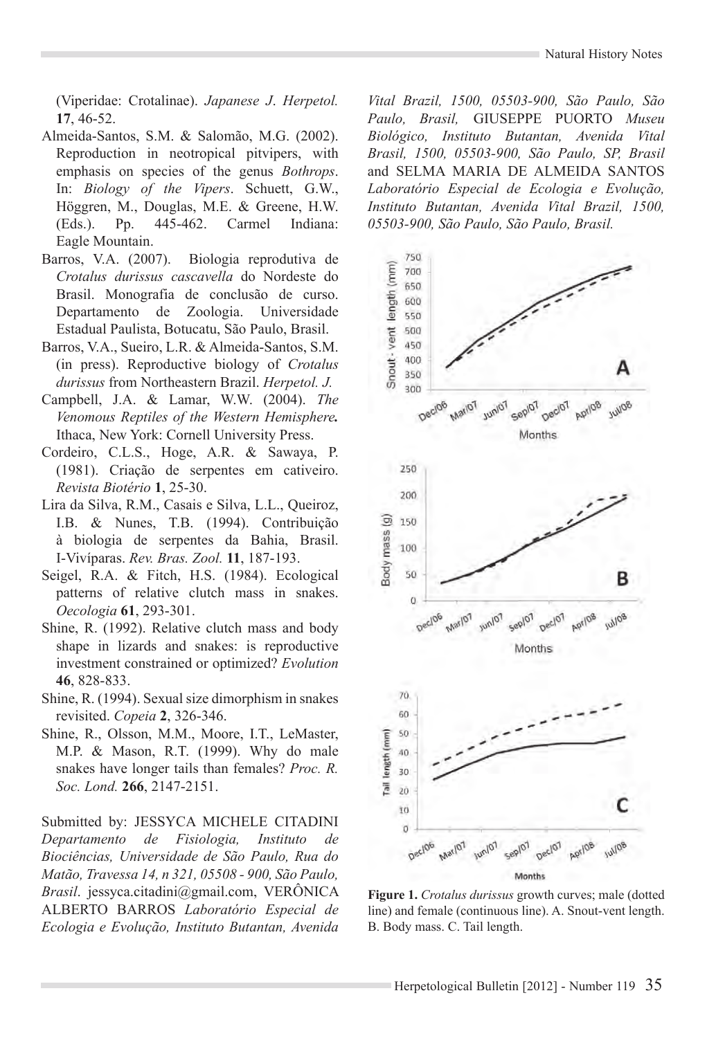(Viperidae: Crotalinae). *Japanese J*. *Herpetol.* **17**, 46-52.

- Almeida-Santos, S.M. & Salomão, M.G. (2002). Reproduction in neotropical pitvipers, with emphasis on species of the genus *Bothrops*. In: *Biology of the Vipers*. Schuett, G.W., Höggren, M., Douglas, M.E. & Greene, H.W. (Eds.). Pp. 445-462. Carmel Indiana: Eagle Mountain.
- Barros, V.A. (2007). Biologia reprodutiva de *Crotalus durissus cascavella* do Nordeste do Brasil. Monografia de conclusão de curso. Departamento de Zoologia. Universidade Estadual Paulista, Botucatu, São Paulo, Brasil.
- Barros, V.A., Sueiro, L.R. & Almeida-Santos, S.M. (in press). Reproductive biology of *Crotalus durissus* from Northeastern Brazil. *Herpetol. J.*
- Campbell, J.A. & Lamar, W.W. (2004). *The Venomous Reptiles of the Western Hemisphere.*  Ithaca, New York: Cornell University Press.
- Cordeiro, C.L.S., Hoge, A.R. & Sawaya, P. (1981). Criação de serpentes em cativeiro. *Revista Biotério* **1**, 25-30.
- Lira da Silva, R.M., Casais e Silva, L.L., Queiroz, I.B. & Nunes, T.B. (1994). Contribuição à biologia de serpentes da Bahia, Brasil. I-Vivíparas. *Rev. Bras. Zool.* **11**, 187-193.
- Seigel, R.A. & Fitch, H.S. (1984). Ecological patterns of relative clutch mass in snakes. *Oecologia* **61**, 293-301.
- Shine, R. (1992). Relative clutch mass and body shape in lizards and snakes: is reproductive investment constrained or optimized? *Evolution* **46**, 828-833.
- Shine, R. (1994). Sexual size dimorphism in snakes revisited. *Copeia* **2**, 326-346.
- Shine, R., Olsson, M.M., Moore, I.T., LeMaster, M.P. & Mason, R.T. (1999). Why do male snakes have longer tails than females? *Proc. R. Soc. Lond.* **266**, 2147-2151.

Submitted by: JESSYCA MICHELE CITADINI *Departamento de Fisiologia, Instituto de Biociências, Universidade de São Paulo, Rua do Matão, Travessa 14, n 321, 05508 - 900, São Paulo, Brasil*. jessyca.citadini@gmail.com, VERÔNICA ALBERTO BARROS *Laboratório Especial de Ecologia e Evolução, Instituto Butantan, Avenida* 

*Vital Brazil, 1500, 05503-900, São Paulo, São Paulo, Brasil,* GIUSEPPE PUORTO *Museu Biológico, Instituto Butantan, Avenida Vital Brasil, 1500, 05503-900, São Paulo, SP, Brasil* and SELMA MARIA DE ALMEIDA SANTOS *Laboratório Especial de Ecologia e Evolução, Instituto Butantan, Avenida Vital Brazil, 1500, 05503-900, São Paulo, São Paulo, Brasil.*



**Figure 1.** *Crotalus durissus* growth curves; male (dotted line) and female (continuous line). A. Snout-vent length. B. Body mass. C. Tail length.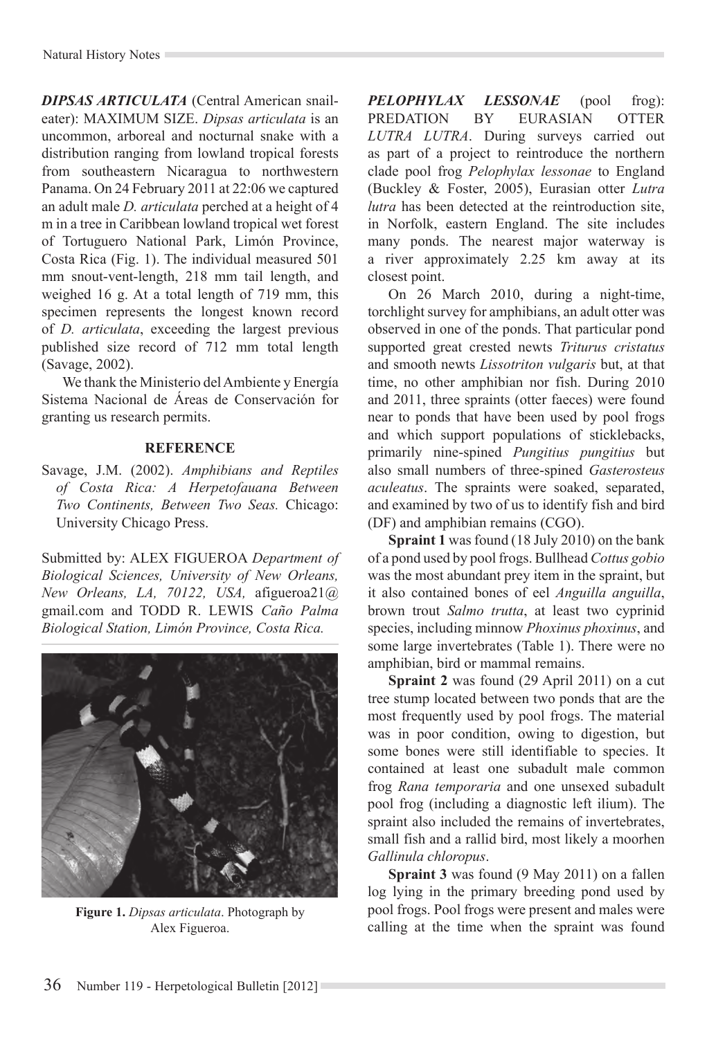*DIPSAS ARTICULATA* (Central American snaileater): MAXIMUM SIZE. *Dipsas articulata* is an uncommon, arboreal and nocturnal snake with a distribution ranging from lowland tropical forests from southeastern Nicaragua to northwestern Panama. On 24 February 2011 at 22:06 we captured an adult male *D. articulata* perched at a height of 4 m in a tree in Caribbean lowland tropical wet forest of Tortuguero National Park, Limón Province, Costa Rica (Fig. 1). The individual measured 501 mm snout-vent-length, 218 mm tail length, and weighed 16 g. At a total length of 719 mm, this specimen represents the longest known record of *D. articulata*, exceeding the largest previous published size record of 712 mm total length (Savage, 2002).

We thank the Ministerio del Ambiente y Energía Sistema Nacional de Áreas de Conservación for granting us research permits.

# **REFERENCE**

Savage, J.M. (2002). *Amphibians and Reptiles of Costa Rica: A Herpetofauana Between Two Continents, Between Two Seas.* Chicago: University Chicago Press.

Submitted by: ALEX FIGUEROA *Department of Biological Sciences, University of New Orleans, New Orleans, LA, 70122, USA,* afigueroa21@ gmail.com and TODD R. LEWIS *Caño Palma Biological Station, Limón Province, Costa Rica.*



**Figure 1.** *Dipsas articulata*. Photograph by Alex Figueroa.

*PELOPHYLAX LESSONAE* (pool frog): PREDATION BY EURASIAN OTTER *LUTRA LUTRA*. During surveys carried out as part of a project to reintroduce the northern clade pool frog *Pelophylax lessonae* to England (Buckley & Foster, 2005), Eurasian otter *Lutra lutra* has been detected at the reintroduction site. in Norfolk, eastern England. The site includes many ponds. The nearest major waterway is a river approximately 2.25 km away at its closest point.

On 26 March 2010, during a night-time, torchlight survey for amphibians, an adult otter was observed in one of the ponds. That particular pond supported great crested newts *Triturus cristatus* and smooth newts *Lissotriton vulgaris* but, at that time, no other amphibian nor fish. During 2010 and 2011, three spraints (otter faeces) were found near to ponds that have been used by pool frogs and which support populations of sticklebacks, primarily nine-spined *Pungitius pungitius* but also small numbers of three-spined *Gasterosteus aculeatus*. The spraints were soaked, separated, and examined by two of us to identify fish and bird (DF) and amphibian remains (CGO).

**Spraint 1** was found (18 July 2010) on the bank of a pond used by pool frogs. Bullhead *Cottus gobio*  was the most abundant prey item in the spraint, but it also contained bones of eel *Anguilla anguilla*, brown trout *Salmo trutta*, at least two cyprinid species, including minnow *Phoxinus phoxinus*, and some large invertebrates (Table 1). There were no amphibian, bird or mammal remains.

**Spraint 2** was found (29 April 2011) on a cut tree stump located between two ponds that are the most frequently used by pool frogs. The material was in poor condition, owing to digestion, but some bones were still identifiable to species. It contained at least one subadult male common frog *Rana temporaria* and one unsexed subadult pool frog (including a diagnostic left ilium). The spraint also included the remains of invertebrates. small fish and a rallid bird, most likely a moorhen *Gallinula chloropus*.

**Spraint 3** was found (9 May 2011) on a fallen log lying in the primary breeding pond used by pool frogs. Pool frogs were present and males were calling at the time when the spraint was found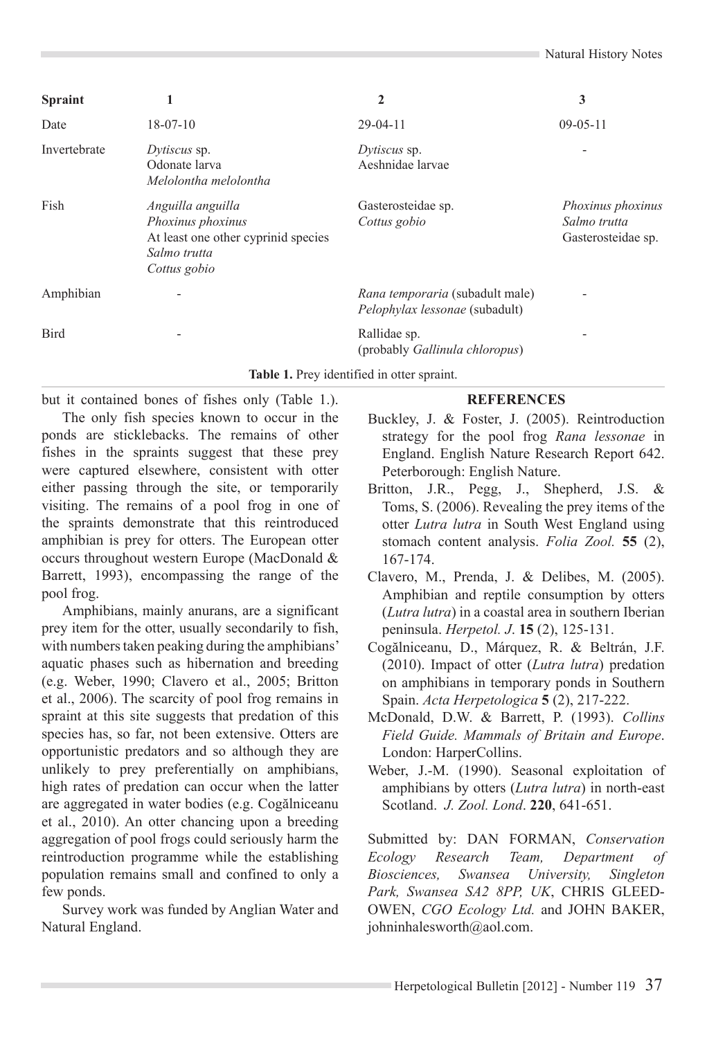| <b>Spraint</b> | 1                                                                                                             | $\overline{2}$                                                           | 3                                                              |
|----------------|---------------------------------------------------------------------------------------------------------------|--------------------------------------------------------------------------|----------------------------------------------------------------|
| Date           | $18-07-10$                                                                                                    | $29-04-11$                                                               | $09 - 05 - 11$                                                 |
| Invertebrate   | Dytiscus sp.<br>Odonate larva<br>Melolontha melolontha                                                        | Dytiscus sp.<br>Aeshnidae larvae                                         |                                                                |
| Fish           | Anguilla anguilla<br>Phoxinus phoxinus<br>At least one other cyprinid species<br>Salmo trutta<br>Cottus gobio | Gasterosteidae sp.<br>Cottus gobio                                       | <i>Phoxinus phoxinus</i><br>Salmo trutta<br>Gasterosteidae sp. |
| Amphibian      |                                                                                                               | Rana temporaria (subadult male)<br><i>Pelophylax lessonae</i> (subadult) |                                                                |
| <b>Bird</b>    |                                                                                                               | Rallidae sp.<br>(probably Gallinula chloropus)                           |                                                                |

**Table 1.** Prey identified in otter spraint.

## **REFERENCES**

The only fish species known to occur in the ponds are sticklebacks. The remains of other fishes in the spraints suggest that these prey were captured elsewhere, consistent with otter either passing through the site, or temporarily visiting. The remains of a pool frog in one of the spraints demonstrate that this reintroduced amphibian is prey for otters. The European otter occurs throughout western Europe (MacDonald & Barrett, 1993), encompassing the range of the pool frog.

but it contained bones of fishes only (Table 1.).

Amphibians, mainly anurans, are a significant prey item for the otter, usually secondarily to fish, with numbers taken peaking during the amphibians' aquatic phases such as hibernation and breeding (e.g. Weber, 1990; Clavero et al., 2005; Britton et al., 2006). The scarcity of pool frog remains in spraint at this site suggests that predation of this species has, so far, not been extensive. Otters are opportunistic predators and so although they are unlikely to prey preferentially on amphibians, high rates of predation can occur when the latter are aggregated in water bodies (e.g. Cogălniceanu et al., 2010). An otter chancing upon a breeding aggregation of pool frogs could seriously harm the reintroduction programme while the establishing population remains small and confined to only a few ponds.

Survey work was funded by Anglian Water and Natural England.

- Buckley, J. & Foster, J. (2005). Reintroduction strategy for the pool frog *Rana lessonae* in England. English Nature Research Report 642. Peterborough: English Nature.
- Britton, J.R., Pegg, J., Shepherd, J.S. & Toms, S. (2006). Revealing the prey items of the otter *Lutra lutra* in South West England using stomach content analysis. *Folia Zool.* **55** (2), 167-174.
- Clavero, M., Prenda, J. & Delibes, M. (2005). Amphibian and reptile consumption by otters (*Lutra lutra*) in a coastal area in southern Iberian peninsula. *Herpetol. J*. **15** (2), 125-131.
- Cogălniceanu, D., Márquez, R. & Beltrán, J.F. (2010). Impact of otter (*Lutra lutra*) predation on amphibians in temporary ponds in Southern Spain. *Acta Herpetologica* **5** (2), 217-222.
- McDonald, D.W. & Barrett, P. (1993). *Collins Field Guide. Mammals of Britain and Europe*. London: HarperCollins.
- Weber, J.-M. (1990). Seasonal exploitation of amphibians by otters (*Lutra lutra*) in north-east Scotland. *J. Zool. Lond*. **220**, 641-651.

Submitted by: DAN FORMAN, *Conservation Ecology Research Team, Department of Biosciences, Swansea University, Singleton Park, Swansea SA2 8PP, UK*, CHRIS GLEED-OWEN, *CGO Ecology Ltd.* and JOHN BAKER, johninhalesworth@aol.com.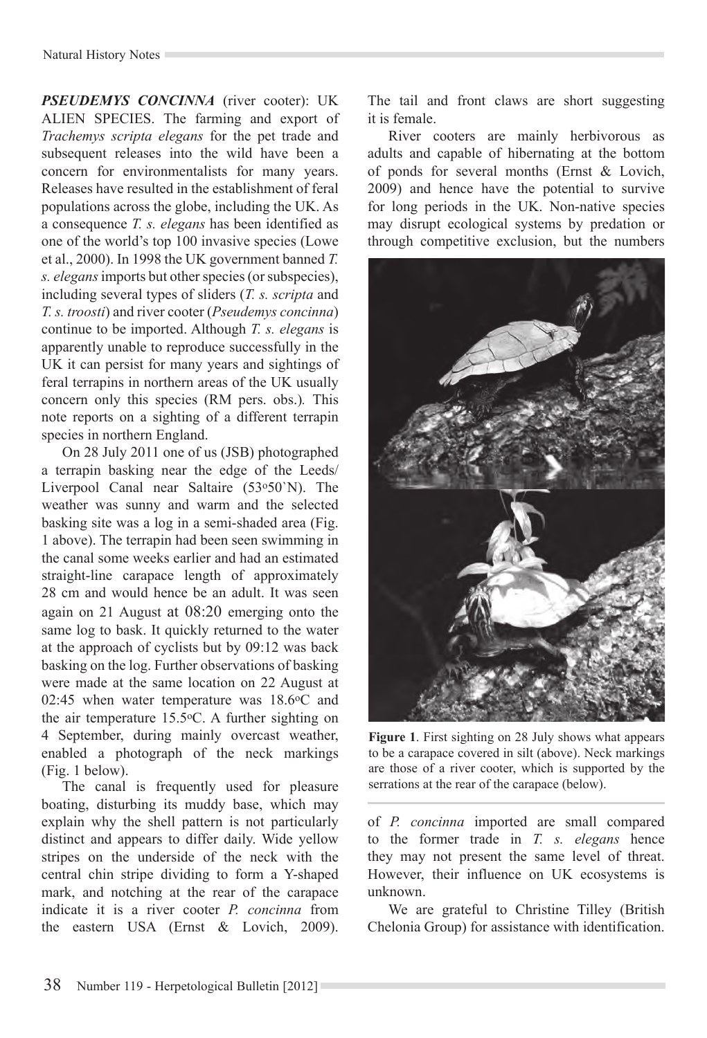#### Natural History Notes

*Pseudemys concinna* (river cooter): UK ALIEN SPECIES. The farming and export of *Trachemys scripta elegans* for the pet trade and subsequent releases into the wild have been a concern for environmentalists for many years. Releases have resulted in the establishment of feral populations across the globe, including the UK. As a consequence *T. s. elegans* has been identified as one of the world's top 100 invasive species (Lowe et al., 2000). In 1998 the UK government banned *T. s. elegans* imports but other species (or subspecies), including several types of sliders (*T. s. scripta* and *T. s. troosti*) and river cooter (*Pseudemys concinna*) continue to be imported. Although *T. s. elegans* is apparently unable to reproduce successfully in the UK it can persist for many years and sightings of feral terrapins in northern areas of the UK usually concern only this species (RM pers. obs.)*.* This note reports on a sighting of a different terrapin species in northern England.

On 28 July 2011 one of us (JSB) photographed a terrapin basking near the edge of the Leeds/ Liverpool Canal near Saltaire (53o50`N). The weather was sunny and warm and the selected basking site was a log in a semi-shaded area (Fig. 1 above). The terrapin had been seen swimming in the canal some weeks earlier and had an estimated straight-line carapace length of approximately 28 cm and would hence be an adult. It was seen again on 21 August at 08:20 emerging onto the same log to bask. It quickly returned to the water at the approach of cyclists but by 09:12 was back basking on the log. Further observations of basking were made at the same location on 22 August at 02:45 when water temperature was  $18.6$ °C and the air temperature 15.5oC. A further sighting on 4 September, during mainly overcast weather, enabled a photograph of the neck markings (Fig. 1 below).

The canal is frequently used for pleasure boating, disturbing its muddy base, which may explain why the shell pattern is not particularly distinct and appears to differ daily. Wide yellow stripes on the underside of the neck with the central chin stripe dividing to form a Y-shaped mark, and notching at the rear of the carapace indicate it is a river cooter *P. concinna* from the eastern USA (Ernst & Lovich, 2009). The tail and front claws are short suggesting it is female.

River cooters are mainly herbivorous as adults and capable of hibernating at the bottom of ponds for several months (Ernst & Lovich, 2009) and hence have the potential to survive for long periods in the UK. Non-native species may disrupt ecological systems by predation or through competitive exclusion, but the numbers



**Figure 1**. First sighting on 28 July shows what appears to be a carapace covered in silt (above). Neck markings are those of a river cooter, which is supported by the serrations at the rear of the carapace (below).

of *P. concinna* imported are small compared to the former trade in *T. s. elegans* hence they may not present the same level of threat. However, their influence on UK ecosystems is unknown.

We are grateful to Christine Tilley (British Chelonia Group) for assistance with identification.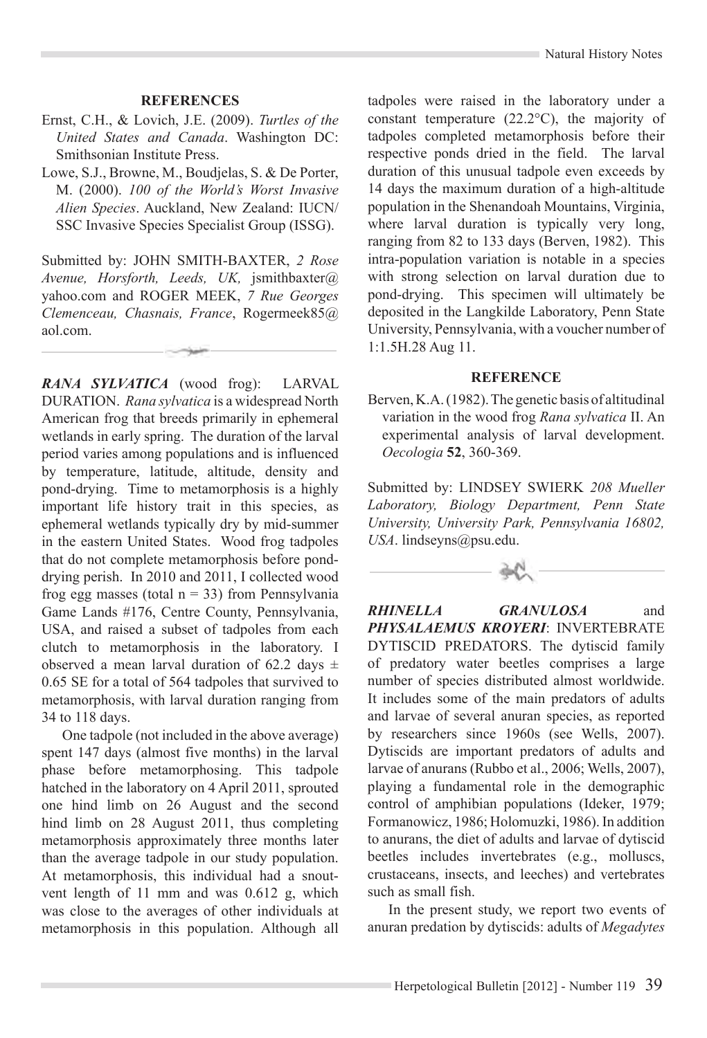### **REFERENCES**

- Ernst, C.H., & Lovich, J.E. (2009). *Turtles of the United States and Canada*. Washington DC: Smithsonian Institute Press.
- Lowe, S.J., Browne, M., Boudjelas, S. & De Porter, M. (2000). *100 of the World's Worst Invasive Alien Species*. Auckland, New Zealand: IUCN/ SSC Invasive Species Specialist Group (ISSG).

Submitted by: JOHN SMITH-BAXTER, *2 Rose Avenue, Horsforth, Leeds, UK,* jsmithbaxter@ yahoo.com and ROGER MEEK, *7 Rue Georges Clemenceau, Chasnais, France*, Rogermeek85@ aol.com.

*RANA SYLVATICA* (wood frog): LARVAL DURATION. *Rana sylvatica* is a widespread North American frog that breeds primarily in ephemeral wetlands in early spring. The duration of the larval period varies among populations and is influenced by temperature, latitude, altitude, density and pond-drying. Time to metamorphosis is a highly important life history trait in this species, as ephemeral wetlands typically dry by mid-summer in the eastern United States. Wood frog tadpoles that do not complete metamorphosis before ponddrying perish. In 2010 and 2011, I collected wood frog egg masses (total  $n = 33$ ) from Pennsylvania Game Lands #176, Centre County, Pennsylvania, USA, and raised a subset of tadpoles from each clutch to metamorphosis in the laboratory. I observed a mean larval duration of 62.2 days  $\pm$ 0.65 SE for a total of 564 tadpoles that survived to metamorphosis, with larval duration ranging from 34 to 118 days.

One tadpole (not included in the above average) spent 147 days (almost five months) in the larval phase before metamorphosing. This tadpole hatched in the laboratory on 4 April 2011, sprouted one hind limb on 26 August and the second hind limb on 28 August 2011, thus completing metamorphosis approximately three months later than the average tadpole in our study population. At metamorphosis, this individual had a snoutvent length of 11 mm and was 0.612 g, which was close to the averages of other individuals at metamorphosis in this population. Although all

tadpoles were raised in the laboratory under a constant temperature (22.2°C), the majority of tadpoles completed metamorphosis before their respective ponds dried in the field. The larval duration of this unusual tadpole even exceeds by 14 days the maximum duration of a high-altitude population in the Shenandoah Mountains, Virginia, where larval duration is typically very long, ranging from 82 to 133 days (Berven, 1982). This intra-population variation is notable in a species with strong selection on larval duration due to pond-drying. This specimen will ultimately be deposited in the Langkilde Laboratory, Penn State University, Pennsylvania, with a voucher number of 1:1.5H.28 Aug 11.

#### **REFERENCE**

Berven, K.A. (1982). The genetic basis of altitudinal variation in the wood frog *Rana sylvatica* II. An experimental analysis of larval development. *Oecologia* **52**, 360-369.

Submitted by: LINDSEY SWIERK *208 Mueller Laboratory, Biology Department, Penn State University, University Park, Pennsylvania 16802, USA*. lindseyns@psu.edu.



*Rhinella granulosa* and *Physalaemus kroyeri*: INVERTEBRATE DYTISCID PREDATORS. The dytiscid family of predatory water beetles comprises a large number of species distributed almost worldwide. It includes some of the main predators of adults and larvae of several anuran species, as reported by researchers since 1960s (see Wells, 2007). Dytiscids are important predators of adults and larvae of anurans (Rubbo et al., 2006; Wells, 2007), playing a fundamental role in the demographic control of amphibian populations (Ideker, 1979; Formanowicz, 1986; Holomuzki, 1986). In addition to anurans, the diet of adults and larvae of dytiscid beetles includes invertebrates (e.g., molluscs, crustaceans, insects, and leeches) and vertebrates such as small fish.

In the present study, we report two events of anuran predation by dytiscids: adults of *Megadytes*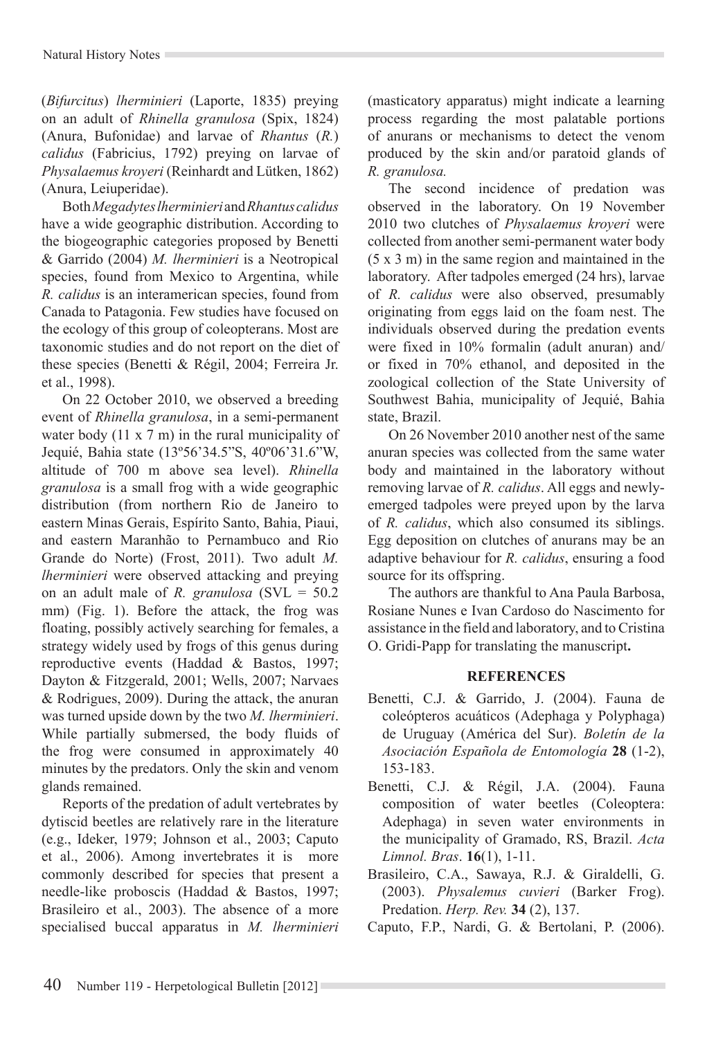(*Bifurcitus*) *lherminieri* (Laporte, 1835) preying on an adult of *Rhinella granulosa* (Spix, 1824) (Anura, Bufonidae) and larvae of *Rhantus* (*R.*) *calidus* (Fabricius, 1792) preying on larvae of *Physalaemus kroyeri* (Reinhardt and Lütken, 1862) (Anura, Leiuperidae).

Both *Megadytes lherminieri* and *Rhantus calidus*  have a wide geographic distribution. According to the biogeographic categories proposed by Benetti & Garrido (2004) *M. lherminieri* is a Neotropical species, found from Mexico to Argentina, while *R. calidus* is an interamerican species, found from Canada to Patagonia. Few studies have focused on the ecology of this group of coleopterans. Most are taxonomic studies and do not report on the diet of these species (Benetti & Régil, 2004; Ferreira Jr. et al., 1998).

On 22 October 2010, we observed a breeding event of *Rhinella granulosa*, in a semi-permanent water body (11 x 7 m) in the rural municipality of Jequié, Bahia state (13º56'34.5"S, 40º06'31.6"W, altitude of 700 m above sea level). *Rhinella granulosa* is a small frog with a wide geographic distribution (from northern Rio de Janeiro to eastern Minas Gerais, Espírito Santo, Bahia, Piaui, and eastern Maranhão to Pernambuco and Rio Grande do Norte) (Frost, 2011). Two adult *M. lherminieri* were observed attacking and preying on an adult male of *R. granulosa* (SVL = 50.2 mm) (Fig. 1). Before the attack, the frog was floating, possibly actively searching for females, a strategy widely used by frogs of this genus during reproductive events (Haddad & Bastos, 1997; Dayton & Fitzgerald, 2001; Wells, 2007; Narvaes & Rodrigues, 2009). During the attack, the anuran was turned upside down by the two *M. lherminieri*. While partially submersed, the body fluids of the frog were consumed in approximately 40 minutes by the predators. Only the skin and venom glands remained.

Reports of the predation of adult vertebrates by dytiscid beetles are relatively rare in the literature (e.g., Ideker, 1979; Johnson et al., 2003; Caputo et al., 2006). Among invertebrates it is more commonly described for species that present a needle-like proboscis (Haddad & Bastos, 1997; Brasileiro et al., 2003). The absence of a more specialised buccal apparatus in *M. lherminieri*

(masticatory apparatus) might indicate a learning process regarding the most palatable portions of anurans or mechanisms to detect the venom produced by the skin and/or paratoid glands of *R. granulosa.*

The second incidence of predation was observed in the laboratory. On 19 November 2010 two clutches of *Physalaemus kroyeri* were collected from another semi-permanent water body (5 x 3 m) in the same region and maintained in the laboratory. After tadpoles emerged (24 hrs), larvae of *R. calidus* were also observed, presumably originating from eggs laid on the foam nest. The individuals observed during the predation events were fixed in 10% formalin (adult anuran) and/ or fixed in 70% ethanol, and deposited in the zoological collection of the State University of Southwest Bahia, municipality of Jequié, Bahia state, Brazil.

On 26 November 2010 another nest of the same anuran species was collected from the same water body and maintained in the laboratory without removing larvae of *R. calidus*. All eggs and newlyemerged tadpoles were preyed upon by the larva of *R. calidus*, which also consumed its siblings. Egg deposition on clutches of anurans may be an adaptive behaviour for *R. calidus*, ensuring a food source for its offspring.

The authors are thankful to Ana Paula Barbosa, Rosiane Nunes e Ivan Cardoso do Nascimento for assistance in the field and laboratory, and to Cristina O. Gridi-Papp for translating the manuscript**.**

# **References**

- Benetti, C.J. & Garrido, J. (2004). Fauna de coleópteros acuáticos (Adephaga y Polyphaga) de Uruguay (América del Sur). *Boletín de la Asociación Española de Entomología* **28** (1-2), 153-183.
- Benetti, C.J. & Régil, J.A. (2004). Fauna composition of water beetles (Coleoptera: Adephaga) in seven water environments in the municipality of Gramado, RS, Brazil. *Acta Limnol. Bras*. **16**(1), 1-11.
- Brasileiro, C.A., Sawaya, R.J. & Giraldelli, G. (2003). *Physalemus cuvieri* (Barker Frog). Predation. *Herp. Rev.* **34** (2), 137.
- Caputo, F.P., Nardi, G. & Bertolani, P. (2006).